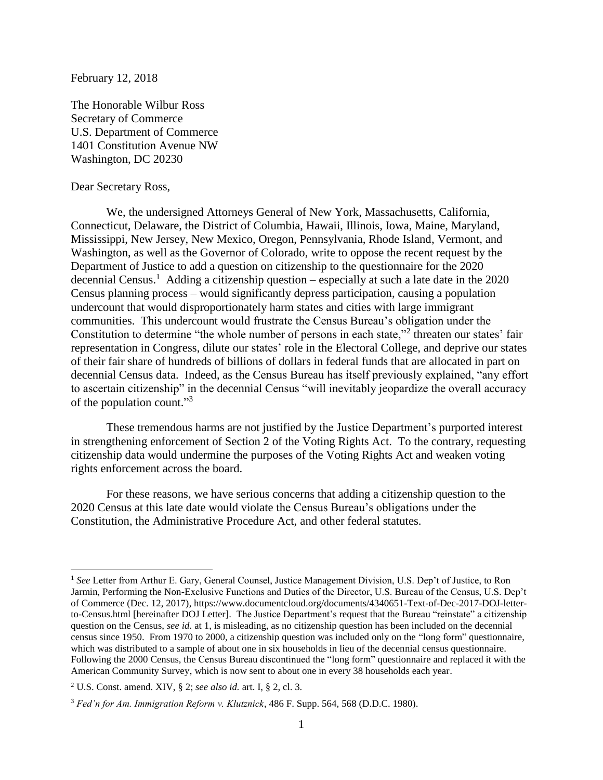February 12, 2018

The Honorable Wilbur Ross Secretary of Commerce U.S. Department of Commerce 1401 Constitution Avenue NW Washington, DC 20230

## Dear Secretary Ross,

 $\overline{a}$ 

We, the undersigned Attorneys General of New York, Massachusetts, California, Connecticut, Delaware, the District of Columbia, Hawaii, Illinois, Iowa, Maine, Maryland, Mississippi, New Jersey, New Mexico, Oregon, Pennsylvania, Rhode Island, Vermont, and Washington, as well as the Governor of Colorado, write to oppose the recent request by the Department of Justice to add a question on citizenship to the questionnaire for the 2020 decennial Census.<sup>1</sup> Adding a citizenship question – especially at such a late date in the 2020 Census planning process – would significantly depress participation, causing a population undercount that would disproportionately harm states and cities with large immigrant communities. This undercount would frustrate the Census Bureau's obligation under the Constitution to determine "the whole number of persons in each state,"<sup>2</sup> threaten our states' fair representation in Congress, dilute our states' role in the Electoral College, and deprive our states of their fair share of hundreds of billions of dollars in federal funds that are allocated in part on decennial Census data. Indeed, as the Census Bureau has itself previously explained, "any effort to ascertain citizenship" in the decennial Census "will inevitably jeopardize the overall accuracy of the population count."<sup>3</sup>

These tremendous harms are not justified by the Justice Department's purported interest in strengthening enforcement of Section 2 of the Voting Rights Act. To the contrary, requesting citizenship data would undermine the purposes of the Voting Rights Act and weaken voting rights enforcement across the board.

For these reasons, we have serious concerns that adding a citizenship question to the 2020 Census at this late date would violate the Census Bureau's obligations under the Constitution, the Administrative Procedure Act, and other federal statutes.

<sup>&</sup>lt;sup>1</sup> See Letter from Arthur E. Gary, General Counsel, Justice Management Division, U.S. Dep't of Justice, to Ron Jarmin, Performing the Non-Exclusive Functions and Duties of the Director, U.S. Bureau of the Census, U.S. Dep't of Commerce (Dec. 12, 2017), https://www.documentcloud.org/documents/4340651-Text-of-Dec-2017-DOJ-letterto-Census.html [hereinafter DOJ Letter]. The Justice Department's request that the Bureau "reinstate" a citizenship question on the Census, *see id.* at 1, is misleading, as no citizenship question has been included on the decennial census since 1950. From 1970 to 2000, a citizenship question was included only on the "long form" questionnaire, which was distributed to a sample of about one in six households in lieu of the decennial census questionnaire. Following the 2000 Census, the Census Bureau discontinued the "long form" questionnaire and replaced it with the American Community Survey, which is now sent to about one in every 38 households each year.

<sup>2</sup> U.S. Const. amend. XIV, § 2; *see also id.* art. I, § 2, cl. 3.

<sup>3</sup> *Fed'n for Am. Immigration Reform v. Klutznick*, 486 F. Supp. 564, 568 (D.D.C. 1980).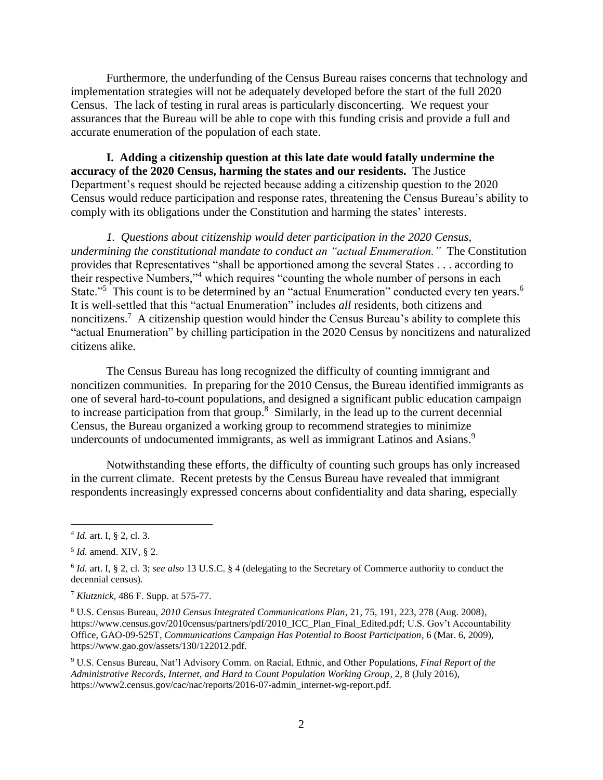Furthermore, the underfunding of the Census Bureau raises concerns that technology and implementation strategies will not be adequately developed before the start of the full 2020 Census. The lack of testing in rural areas is particularly disconcerting. We request your assurances that the Bureau will be able to cope with this funding crisis and provide a full and accurate enumeration of the population of each state.

**I. Adding a citizenship question at this late date would fatally undermine the accuracy of the 2020 Census, harming the states and our residents.** The Justice Department's request should be rejected because adding a citizenship question to the 2020 Census would reduce participation and response rates, threatening the Census Bureau's ability to comply with its obligations under the Constitution and harming the states' interests.

*1. Questions about citizenship would deter participation in the 2020 Census, undermining the constitutional mandate to conduct an "actual Enumeration."* The Constitution provides that Representatives "shall be apportioned among the several States . . . according to their respective Numbers,"<sup>4</sup> which requires "counting the whole number of persons in each State."<sup>5</sup> This count is to be determined by an "actual Enumeration" conducted every ten years.<sup>6</sup> It is well-settled that this "actual Enumeration" includes *all* residents, both citizens and noncitizens.<sup>7</sup> A citizenship question would hinder the Census Bureau's ability to complete this "actual Enumeration" by chilling participation in the 2020 Census by noncitizens and naturalized citizens alike.

The Census Bureau has long recognized the difficulty of counting immigrant and noncitizen communities. In preparing for the 2010 Census, the Bureau identified immigrants as one of several hard-to-count populations, and designed a significant public education campaign to increase participation from that group.<sup>8</sup> Similarly, in the lead up to the current decennial Census, the Bureau organized a working group to recommend strategies to minimize undercounts of undocumented immigrants, as well as immigrant Latinos and Asians.<sup>9</sup>

Notwithstanding these efforts, the difficulty of counting such groups has only increased in the current climate. Recent pretests by the Census Bureau have revealed that immigrant respondents increasingly expressed concerns about confidentiality and data sharing, especially

<sup>4</sup> *Id.* art. I, § 2, cl. 3.

<sup>5</sup> *Id.* amend. XIV, § 2.

<sup>6</sup> *Id.* art. I, § 2, cl. 3; *see also* 13 U.S.C. § 4 (delegating to the Secretary of Commerce authority to conduct the decennial census).

<sup>7</sup> *Klutznick*, 486 F. Supp. at 575-77.

<sup>8</sup> U.S. Census Bureau, *2010 Census Integrated Communications Plan*, 21, 75, 191, 223, 278 (Aug. 2008), https://www.census.gov/2010census/partners/pdf/2010\_ICC\_Plan\_Final\_Edited.pdf; U.S. Gov't Accountability Office, GAO-09-525T, *Communications Campaign Has Potential to Boost Participation*, 6 (Mar. 6, 2009), https://www.gao.gov/assets/130/122012.pdf*.*

<sup>9</sup> U.S. Census Bureau, Nat'l Advisory Comm. on Racial, Ethnic, and Other Populations, *Final Report of the Administrative Records, Internet, and Hard to Count Population Working Group*, 2, 8 (July 2016), https://www2.census.gov/cac/nac/reports/2016-07-admin\_internet-wg-report.pdf.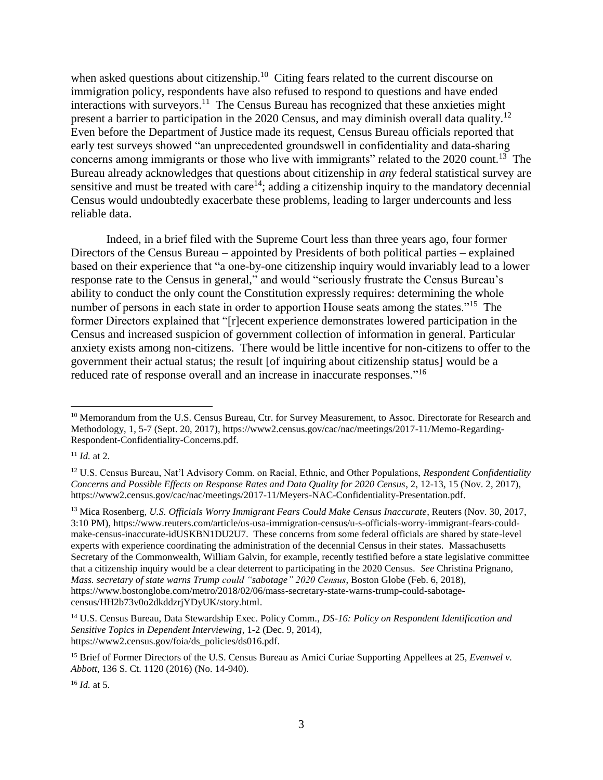when asked questions about citizenship.<sup>10</sup> Citing fears related to the current discourse on immigration policy, respondents have also refused to respond to questions and have ended interactions with surveyors.<sup>11</sup> The Census Bureau has recognized that these anxieties might present a barrier to participation in the 2020 Census, and may diminish overall data quality.<sup>12</sup> Even before the Department of Justice made its request, Census Bureau officials reported that early test surveys showed "an unprecedented groundswell in confidentiality and data-sharing concerns among immigrants or those who live with immigrants" related to the 2020 count.<sup>13</sup> The Bureau already acknowledges that questions about citizenship in *any* federal statistical survey are sensitive and must be treated with care<sup>14</sup>; adding a citizenship inquiry to the mandatory decennial Census would undoubtedly exacerbate these problems, leading to larger undercounts and less reliable data.

Indeed, in a brief filed with the Supreme Court less than three years ago, four former Directors of the Census Bureau – appointed by Presidents of both political parties – explained based on their experience that "a one-by-one citizenship inquiry would invariably lead to a lower response rate to the Census in general," and would "seriously frustrate the Census Bureau's ability to conduct the only count the Constitution expressly requires: determining the whole number of persons in each state in order to apportion House seats among the states."<sup>15</sup> The former Directors explained that "[r]ecent experience demonstrates lowered participation in the Census and increased suspicion of government collection of information in general. Particular anxiety exists among non-citizens. There would be little incentive for non-citizens to offer to the government their actual status; the result [of inquiring about citizenship status] would be a reduced rate of response overall and an increase in inaccurate responses."<sup>16</sup>

 $11$  *Id.* at 2.

 $\overline{a}$ 

<sup>13</sup> Mica Rosenberg, *U.S. Officials Worry Immigrant Fears Could Make Census Inaccurate*, Reuters (Nov. 30, 2017, 3:10 PM), https://www.reuters.com/article/us-usa-immigration-census/u-s-officials-worry-immigrant-fears-couldmake-census-inaccurate-idUSKBN1DU2U7. These concerns from some federal officials are shared by state-level experts with experience coordinating the administration of the decennial Census in their states. Massachusetts Secretary of the Commonwealth, William Galvin, for example, recently testified before a state legislative committee that a citizenship inquiry would be a clear deterrent to participating in the 2020 Census. *See* Christina Prignano, *Mass. secretary of state warns Trump could "sabotage" 2020 Census*, Boston Globe (Feb. 6, 2018), https://www.bostonglobe.com/metro/2018/02/06/mass-secretary-state-warns-trump-could-sabotagecensus/HH2b73v0o2dkddzrjYDyUK/story.html.

<sup>16</sup> *Id.* at 5.

<sup>&</sup>lt;sup>10</sup> Memorandum from the U.S. Census Bureau, Ctr. for Survey Measurement, to Assoc. Directorate for Research and Methodology, 1, 5-7 (Sept. 20, 2017), https://www2.census.gov/cac/nac/meetings/2017-11/Memo-Regarding-Respondent-Confidentiality-Concerns.pdf.

<sup>12</sup> U.S. Census Bureau, Nat'l Advisory Comm. on Racial, Ethnic, and Other Populations, *Respondent Confidentiality Concerns and Possible Effects on Response Rates and Data Quality for 2020 Census*, 2, 12-13, 15 (Nov. 2, 2017), https://www2.census.gov/cac/nac/meetings/2017-11/Meyers-NAC-Confidentiality-Presentation.pdf.

<sup>14</sup> U.S. Census Bureau, Data Stewardship Exec. Policy Comm., *DS-16: Policy on Respondent Identification and Sensitive Topics in Dependent Interviewing*, 1-2 (Dec. 9, 2014), https://www2.census.gov/foia/ds\_policies/ds016.pdf.

<sup>&</sup>lt;sup>15</sup> Brief of Former Directors of the U.S. Census Bureau as Amici Curiae Supporting Appellees at 25, *Evenwel v. Abbott*, 136 S. Ct. 1120 (2016) (No. 14-940).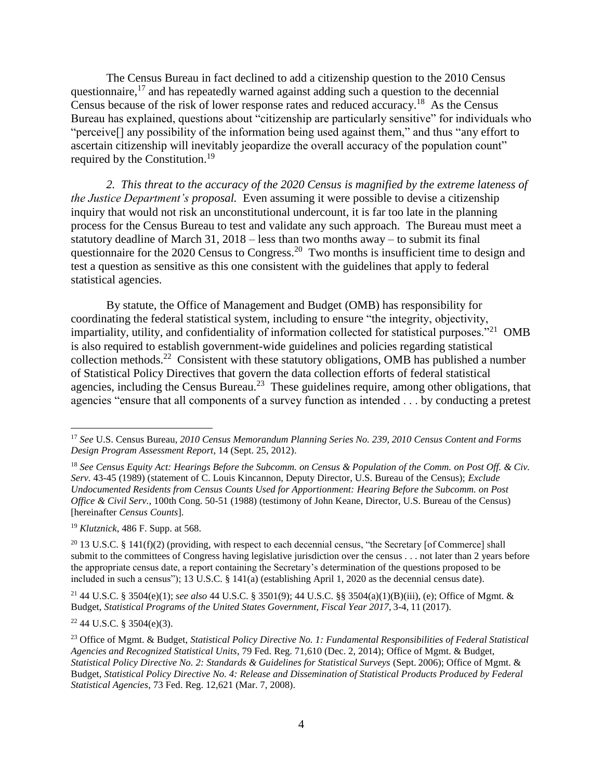The Census Bureau in fact declined to add a citizenship question to the 2010 Census questionnaire,  $17$  and has repeatedly warned against adding such a question to the decennial Census because of the risk of lower response rates and reduced accuracy.<sup>18</sup> As the Census Bureau has explained, questions about "citizenship are particularly sensitive" for individuals who "perceive[] any possibility of the information being used against them," and thus "any effort to ascertain citizenship will inevitably jeopardize the overall accuracy of the population count" required by the Constitution.<sup>19</sup>

*2. This threat to the accuracy of the 2020 Census is magnified by the extreme lateness of the Justice Department's proposal.* Even assuming it were possible to devise a citizenship inquiry that would not risk an unconstitutional undercount, it is far too late in the planning process for the Census Bureau to test and validate any such approach. The Bureau must meet a statutory deadline of March 31, 2018 – less than two months away – to submit its final questionnaire for the 2020 Census to Congress.<sup>20</sup> Two months is insufficient time to design and test a question as sensitive as this one consistent with the guidelines that apply to federal statistical agencies.

By statute, the Office of Management and Budget (OMB) has responsibility for coordinating the federal statistical system, including to ensure "the integrity, objectivity, impartiality, utility, and confidentiality of information collected for statistical purposes."<sup>21</sup> OMB is also required to establish government-wide guidelines and policies regarding statistical collection methods.<sup>22</sup> Consistent with these statutory obligations, OMB has published a number of Statistical Policy Directives that govern the data collection efforts of federal statistical agencies, including the Census Bureau.<sup>23</sup> These guidelines require, among other obligations, that agencies "ensure that all components of a survey function as intended . . . by conducting a pretest

<sup>19</sup> *Klutznick*, 486 F. Supp. at 568.

 $\overline{a}$ 

<sup>20</sup> 13 U.S.C. § 141(f)(2) (providing, with respect to each decennial census, "the Secretary [of Commerce] shall submit to the committees of Congress having legislative jurisdiction over the census . . . not later than 2 years before the appropriate census date, a report containing the Secretary's determination of the questions proposed to be included in such a census"); 13 U.S.C. § 141(a) (establishing April 1, 2020 as the decennial census date).

<sup>21</sup> 44 U.S.C. § 3504(e)(1); *see also* 44 U.S.C. § 3501(9); 44 U.S.C. §§ 3504(a)(1)(B)(iii), (e); Office of Mgmt. & Budget, *Statistical Programs of the United States Government, Fiscal Year 2017*, 3-4, 11 (2017).

 $22\,44$  U.S.C. § 3504(e)(3).

<sup>17</sup> *See* U.S. Census Bureau, *2010 Census Memorandum Planning Series No. 239, 2010 Census Content and Forms Design Program Assessment Report*, 14 (Sept. 25, 2012).

<sup>18</sup> *See Census Equity Act: Hearings Before the Subcomm. on Census & Population of the Comm. on Post Off. & Civ. Serv.* 43-45 (1989) (statement of C. Louis Kincannon, Deputy Director, U.S. Bureau of the Census); *Exclude Undocumented Residents from Census Counts Used for Apportionment: Hearing Before the Subcomm. on Post Office & Civil Serv.,* 100th Cong. 50-51 (1988) (testimony of John Keane, Director, U.S. Bureau of the Census) [hereinafter *Census Counts*].

<sup>23</sup> Office of Mgmt. & Budget, *Statistical Policy Directive No. 1: Fundamental Responsibilities of Federal Statistical Agencies and Recognized Statistical Units*, 79 Fed. Reg. 71,610 (Dec. 2, 2014); Office of Mgmt. & Budget, *Statistical Policy Directive No. 2: Standards & Guidelines for Statistical Surveys* (Sept. 2006); Office of Mgmt. & Budget, *Statistical Policy Directive No. 4: Release and Dissemination of Statistical Products Produced by Federal Statistical Agencies*, 73 Fed. Reg. 12,621 (Mar. 7, 2008).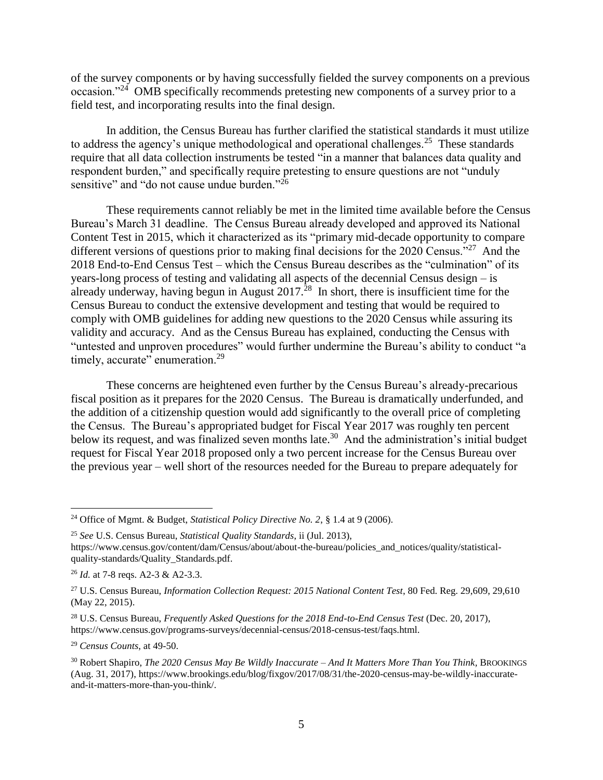of the survey components or by having successfully fielded the survey components on a previous occasion."<sup>24</sup> OMB specifically recommends pretesting new components of a survey prior to a field test, and incorporating results into the final design.

In addition, the Census Bureau has further clarified the statistical standards it must utilize to address the agency's unique methodological and operational challenges.<sup>25</sup> These standards require that all data collection instruments be tested "in a manner that balances data quality and respondent burden," and specifically require pretesting to ensure questions are not "unduly sensitive" and "do not cause undue burden<sup>"26</sup>

These requirements cannot reliably be met in the limited time available before the Census Bureau's March 31 deadline. The Census Bureau already developed and approved its National Content Test in 2015, which it characterized as its "primary mid-decade opportunity to compare different versions of questions prior to making final decisions for the 2020 Census."<sup>27</sup> And the 2018 End-to-End Census Test – which the Census Bureau describes as the "culmination" of its years-long process of testing and validating all aspects of the decennial Census design – is already underway, having begun in August  $2017<sup>28</sup>$  In short, there is insufficient time for the Census Bureau to conduct the extensive development and testing that would be required to comply with OMB guidelines for adding new questions to the 2020 Census while assuring its validity and accuracy. And as the Census Bureau has explained, conducting the Census with "untested and unproven procedures" would further undermine the Bureau's ability to conduct "a timely, accurate" enumeration.<sup>29</sup>

These concerns are heightened even further by the Census Bureau's already-precarious fiscal position as it prepares for the 2020 Census. The Bureau is dramatically underfunded, and the addition of a citizenship question would add significantly to the overall price of completing the Census. The Bureau's appropriated budget for Fiscal Year 2017 was roughly ten percent below its request, and was finalized seven months late.<sup>30</sup> And the administration's initial budget request for Fiscal Year 2018 proposed only a two percent increase for the Census Bureau over the previous year – well short of the resources needed for the Bureau to prepare adequately for

 $\overline{a}$ 

<sup>29</sup> *Census Counts*, at 49-50.

<sup>24</sup> Office of Mgmt. & Budget, *Statistical Policy Directive No. 2*, § 1.4 at 9 (2006).

<sup>25</sup> *See* U.S. Census Bureau, *Statistical Quality Standards*, ii (Jul. 2013), https://www.census.gov/content/dam/Census/about/about-the-bureau/policies\_and\_notices/quality/statisticalquality-standards/Quality\_Standards.pdf.

<sup>26</sup> *Id.* at 7-8 reqs. A2-3 & A2-3.3.

<sup>&</sup>lt;sup>27</sup> U.S. Census Bureau, *Information Collection Request: 2015 National Content Test*, 80 Fed. Reg. 29,609, 29,610 (May 22, 2015).

<sup>28</sup> U.S. Census Bureau, *Frequently Asked Questions for the 2018 End-to-End Census Test* (Dec. 20, 2017), https://www.census.gov/programs-surveys/decennial-census/2018-census-test/faqs.html.

<sup>30</sup> Robert Shapiro, *The 2020 Census May Be Wildly Inaccurate – And It Matters More Than You Think,* BROOKINGS (Aug. 31, 2017), https://www.brookings.edu/blog/fixgov/2017/08/31/the-2020-census-may-be-wildly-inaccurateand-it-matters-more-than-you-think/.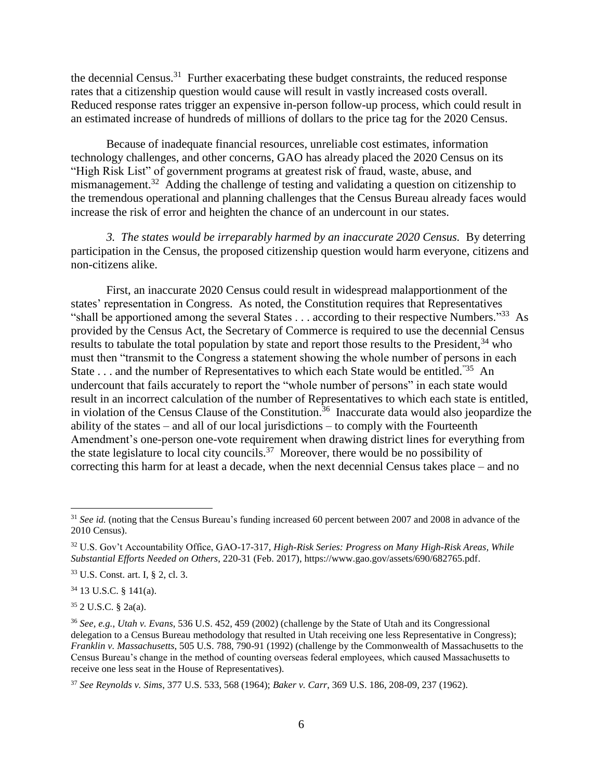the decennial Census.<sup>31</sup> Further exacerbating these budget constraints, the reduced response rates that a citizenship question would cause will result in vastly increased costs overall. Reduced response rates trigger an expensive in-person follow-up process, which could result in an estimated increase of hundreds of millions of dollars to the price tag for the 2020 Census.

Because of inadequate financial resources, unreliable cost estimates, information technology challenges, and other concerns, GAO has already placed the 2020 Census on its "High Risk List" of government programs at greatest risk of fraud, waste, abuse, and mismanagement.<sup>32</sup> Adding the challenge of testing and validating a question on citizenship to the tremendous operational and planning challenges that the Census Bureau already faces would increase the risk of error and heighten the chance of an undercount in our states.

*3. The states would be irreparably harmed by an inaccurate 2020 Census.* By deterring participation in the Census, the proposed citizenship question would harm everyone, citizens and non-citizens alike.

First, an inaccurate 2020 Census could result in widespread malapportionment of the states' representation in Congress. As noted, the Constitution requires that Representatives "shall be apportioned among the several States . . . according to their respective Numbers."<sup>33</sup> As provided by the Census Act, the Secretary of Commerce is required to use the decennial Census results to tabulate the total population by state and report those results to the President,  $34$  who must then "transmit to the Congress a statement showing the whole number of persons in each State . . . and the number of Representatives to which each State would be entitled.<sup>"35</sup> An undercount that fails accurately to report the "whole number of persons" in each state would result in an incorrect calculation of the number of Representatives to which each state is entitled, in violation of the Census Clause of the Constitution.<sup>36</sup> Inaccurate data would also jeopardize the ability of the states – and all of our local jurisdictions – to comply with the Fourteenth Amendment's one-person one-vote requirement when drawing district lines for everything from the state legislature to local city councils.<sup>37</sup> Moreover, there would be no possibility of correcting this harm for at least a decade, when the next decennial Census takes place – and no

<sup>34</sup> 13 U.S.C. § 141(a).

<sup>35</sup> 2 U.S.C. § 2a(a).

<sup>&</sup>lt;sup>31</sup> See id. (noting that the Census Bureau's funding increased 60 percent between 2007 and 2008 in advance of the 2010 Census).

<sup>32</sup> U.S. Gov't Accountability Office, GAO-17-317, *High-Risk Series: Progress on Many High-Risk Areas, While Substantial Efforts Needed on Others*, 220-31 (Feb. 2017), https://www.gao.gov/assets/690/682765.pdf.

<sup>33</sup> U.S. Const. art. I, § 2, cl. 3.

<sup>36</sup> *See, e.g.*, *Utah v. Evans*, 536 U.S. 452, 459 (2002) (challenge by the State of Utah and its Congressional delegation to a Census Bureau methodology that resulted in Utah receiving one less Representative in Congress); *Franklin v. Massachusetts*, 505 U.S. 788, 790-91 (1992) (challenge by the Commonwealth of Massachusetts to the Census Bureau's change in the method of counting overseas federal employees, which caused Massachusetts to receive one less seat in the House of Representatives).

<sup>37</sup> *See Reynolds v. Sims*, 377 U.S. 533, 568 (1964); *Baker v. Carr*, 369 U.S. 186, 208-09, 237 (1962).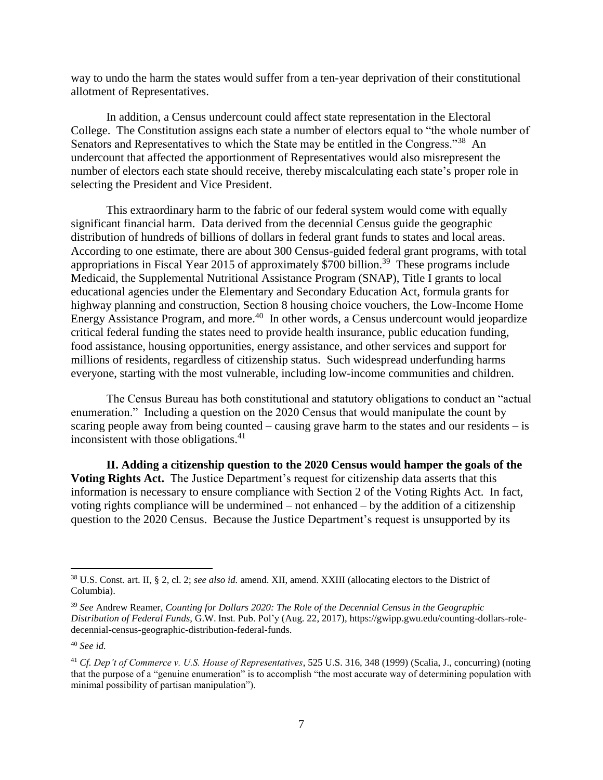way to undo the harm the states would suffer from a ten-year deprivation of their constitutional allotment of Representatives.

In addition, a Census undercount could affect state representation in the Electoral College. The Constitution assigns each state a number of electors equal to "the whole number of Senators and Representatives to which the State may be entitled in the Congress."<sup>38</sup> An undercount that affected the apportionment of Representatives would also misrepresent the number of electors each state should receive, thereby miscalculating each state's proper role in selecting the President and Vice President.

This extraordinary harm to the fabric of our federal system would come with equally significant financial harm. Data derived from the decennial Census guide the geographic distribution of hundreds of billions of dollars in federal grant funds to states and local areas. According to one estimate, there are about 300 Census-guided federal grant programs, with total appropriations in Fiscal Year 2015 of approximately \$700 billion.<sup>39</sup> These programs include Medicaid, the Supplemental Nutritional Assistance Program (SNAP), Title I grants to local educational agencies under the Elementary and Secondary Education Act, formula grants for highway planning and construction, Section 8 housing choice vouchers, the Low-Income Home Energy Assistance Program, and more.<sup>40</sup> In other words, a Census undercount would jeopardize critical federal funding the states need to provide health insurance, public education funding, food assistance, housing opportunities, energy assistance, and other services and support for millions of residents, regardless of citizenship status. Such widespread underfunding harms everyone, starting with the most vulnerable, including low-income communities and children.

The Census Bureau has both constitutional and statutory obligations to conduct an "actual enumeration." Including a question on the 2020 Census that would manipulate the count by scaring people away from being counted – causing grave harm to the states and our residents – is inconsistent with those obligations.<sup>41</sup>

**II. Adding a citizenship question to the 2020 Census would hamper the goals of the Voting Rights Act.** The Justice Department's request for citizenship data asserts that this information is necessary to ensure compliance with Section 2 of the Voting Rights Act. In fact, voting rights compliance will be undermined – not enhanced – by the addition of a citizenship question to the 2020 Census. Because the Justice Department's request is unsupported by its

<sup>38</sup> U.S. Const. art. II, § 2, cl. 2; *see also id.* amend. XII, amend. XXIII (allocating electors to the District of Columbia).

<sup>39</sup> *See* Andrew Reamer, *Counting for Dollars 2020: The Role of the Decennial Census in the Geographic Distribution of Federal Funds,* G.W. Inst. Pub. Pol'y (Aug. 22, 2017), https://gwipp.gwu.edu/counting-dollars-roledecennial-census-geographic-distribution-federal-funds.

<sup>40</sup> *See id.*

<sup>41</sup> *Cf. Dep't of Commerce v. U.S. House of Representatives*, 525 U.S. 316, 348 (1999) (Scalia, J., concurring) (noting that the purpose of a "genuine enumeration" is to accomplish "the most accurate way of determining population with minimal possibility of partisan manipulation").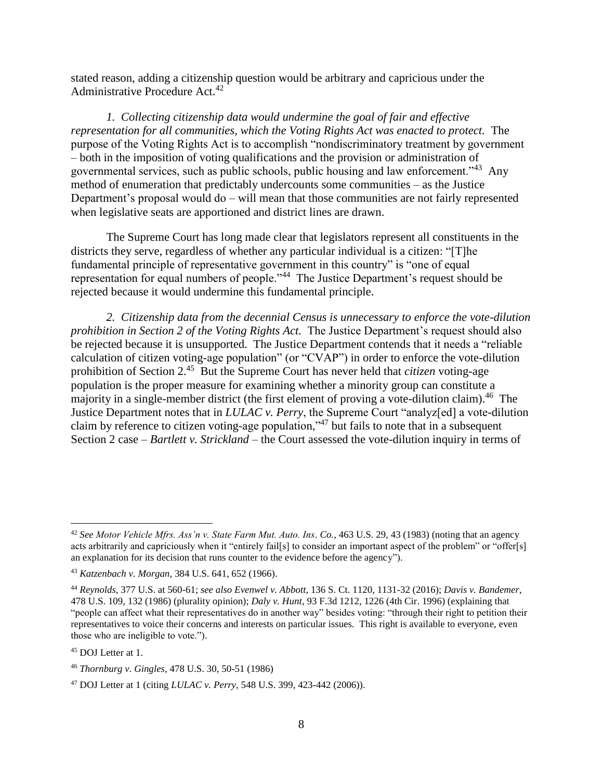stated reason, adding a citizenship question would be arbitrary and capricious under the Administrative Procedure Act.<sup>42</sup>

*1. Collecting citizenship data would undermine the goal of fair and effective representation for all communities, which the Voting Rights Act was enacted to protect.* The purpose of the Voting Rights Act is to accomplish "nondiscriminatory treatment by government – both in the imposition of voting qualifications and the provision or administration of governmental services, such as public schools, public housing and law enforcement."<sup>43</sup> Any method of enumeration that predictably undercounts some communities – as the Justice Department's proposal would do – will mean that those communities are not fairly represented when legislative seats are apportioned and district lines are drawn.

The Supreme Court has long made clear that legislators represent all constituents in the districts they serve, regardless of whether any particular individual is a citizen: "[T]he fundamental principle of representative government in this country" is "one of equal representation for equal numbers of people.<sup>144</sup> The Justice Department's request should be rejected because it would undermine this fundamental principle.

*2. Citizenship data from the decennial Census is unnecessary to enforce the vote-dilution prohibition in Section 2 of the Voting Rights Act.* The Justice Department's request should also be rejected because it is unsupported. The Justice Department contends that it needs a "reliable calculation of citizen voting-age population" (or "CVAP") in order to enforce the vote-dilution prohibition of Section 2. 45 But the Supreme Court has never held that *citizen* voting-age population is the proper measure for examining whether a minority group can constitute a majority in a single-member district (the first element of proving a vote-dilution claim).<sup>46</sup> The Justice Department notes that in *LULAC v. Perry*, the Supreme Court "analyz[ed] a vote-dilution claim by reference to citizen voting-age population,"<sup>47</sup> but fails to note that in a subsequent Section 2 case – *Bartlett v. Strickland* – the Court assessed the vote-dilution inquiry in terms of

<sup>42</sup> *See Motor Vehicle Mfrs. Ass'n v. State Farm Mut. Auto. Ins. Co.*, 463 U.S. 29, 43 (1983) (noting that an agency acts arbitrarily and capriciously when it "entirely fail[s] to consider an important aspect of the problem" or "offer[s] an explanation for its decision that runs counter to the evidence before the agency").

<sup>43</sup> *Katzenbach v. Morgan*, 384 U.S. 641, 652 (1966).

<sup>44</sup> *Reynolds*, 377 U.S. at 560-61; *see also Evenwel v. Abbott*, 136 S. Ct. 1120, 1131-32 (2016); *Davis v. Bandemer*, 478 U.S. 109, 132 (1986) (plurality opinion); *Daly v. Hunt*, 93 F.3d 1212, 1226 (4th Cir. 1996) (explaining that "people can affect what their representatives do in another way" besides voting: "through their right to petition their representatives to voice their concerns and interests on particular issues. This right is available to everyone, even those who are ineligible to vote.").

<sup>45</sup> DOJ Letter at 1.

<sup>46</sup> *Thornburg v. Gingles*, 478 U.S. 30, 50-51 (1986)

<sup>47</sup> DOJ Letter at 1 (citing *LULAC v. Perry*, 548 U.S. 399, 423-442 (2006)).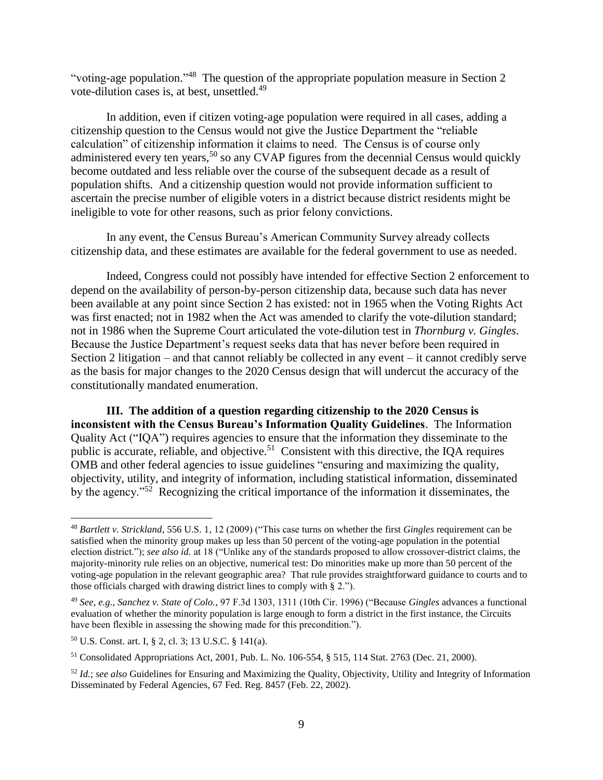"voting-age population."<sup>48</sup> The question of the appropriate population measure in Section 2 vote-dilution cases is, at best, unsettled.<sup>49</sup>

In addition, even if citizen voting-age population were required in all cases, adding a citizenship question to the Census would not give the Justice Department the "reliable calculation" of citizenship information it claims to need. The Census is of course only administered every ten years,<sup>50</sup> so any CVAP figures from the decennial Census would quickly become outdated and less reliable over the course of the subsequent decade as a result of population shifts. And a citizenship question would not provide information sufficient to ascertain the precise number of eligible voters in a district because district residents might be ineligible to vote for other reasons, such as prior felony convictions.

In any event, the Census Bureau's American Community Survey already collects citizenship data, and these estimates are available for the federal government to use as needed.

Indeed, Congress could not possibly have intended for effective Section 2 enforcement to depend on the availability of person-by-person citizenship data, because such data has never been available at any point since Section 2 has existed: not in 1965 when the Voting Rights Act was first enacted; not in 1982 when the Act was amended to clarify the vote-dilution standard; not in 1986 when the Supreme Court articulated the vote-dilution test in *Thornburg v. Gingles*. Because the Justice Department's request seeks data that has never before been required in Section 2 litigation – and that cannot reliably be collected in any event – it cannot credibly serve as the basis for major changes to the 2020 Census design that will undercut the accuracy of the constitutionally mandated enumeration.

**III. The addition of a question regarding citizenship to the 2020 Census is inconsistent with the Census Bureau's Information Quality Guidelines**. The Information Quality Act ("IQA") requires agencies to ensure that the information they disseminate to the public is accurate, reliable, and objective.<sup>51</sup> Consistent with this directive, the IQA requires OMB and other federal agencies to issue guidelines "ensuring and maximizing the quality, objectivity, utility, and integrity of information, including statistical information, disseminated by the agency."<sup>52</sup> Recognizing the critical importance of the information it disseminates, the

<sup>48</sup> *Bartlett v. Strickland*, 556 U.S. 1, 12 (2009) ("This case turns on whether the first *Gingles* requirement can be satisfied when the minority group makes up less than 50 percent of the voting-age population in the potential election district."); *see also id.* at 18 ("Unlike any of the standards proposed to allow crossover-district claims, the majority-minority rule relies on an objective, numerical test: Do minorities make up more than 50 percent of the voting-age population in the relevant geographic area? That rule provides straightforward guidance to courts and to those officials charged with drawing district lines to comply with § 2.").

<sup>49</sup> *See, e.g.*, *Sanchez v. State of Colo.*, 97 F.3d 1303, 1311 (10th Cir. 1996) ("Because *Gingles* advances a functional evaluation of whether the minority population is large enough to form a district in the first instance, the Circuits have been flexible in assessing the showing made for this precondition.").

<sup>50</sup> U.S. Const. art. I, § 2, cl. 3; 13 U.S.C. § 141(a).

<sup>51</sup> Consolidated Appropriations Act, 2001, Pub. L. No. 106-554, § 515, 114 Stat. 2763 (Dec. 21, 2000).

<sup>52</sup> *Id.*; *see also* Guidelines for Ensuring and Maximizing the Quality, Objectivity, Utility and Integrity of Information Disseminated by Federal Agencies, 67 Fed. Reg. 8457 (Feb. 22, 2002).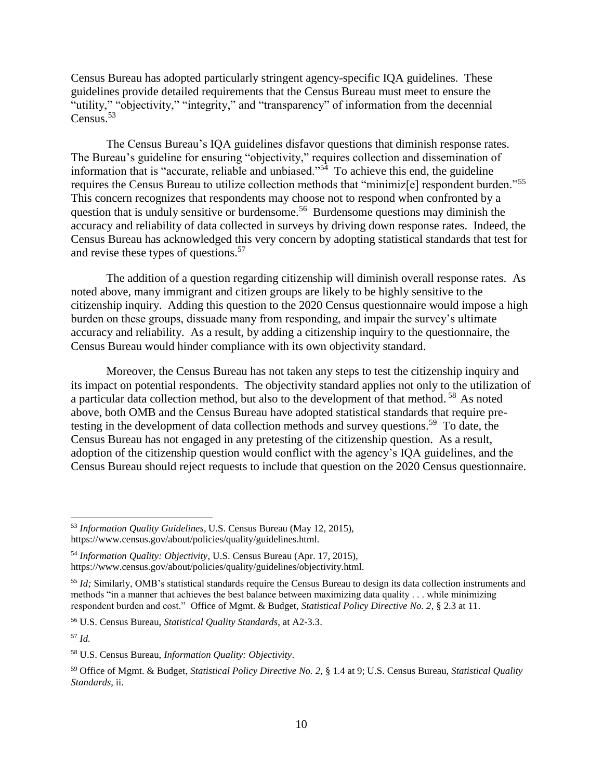Census Bureau has adopted particularly stringent agency-specific IQA guidelines. These guidelines provide detailed requirements that the Census Bureau must meet to ensure the "utility," "objectivity," "integrity," and "transparency" of information from the decennial Census.<sup>53</sup>

The Census Bureau's IQA guidelines disfavor questions that diminish response rates. The Bureau's guideline for ensuring "objectivity," requires collection and dissemination of information that is "accurate, reliable and unbiased."<sup>54</sup> To achieve this end, the guideline requires the Census Bureau to utilize collection methods that "minimiz[e] respondent burden."<sup>55</sup> This concern recognizes that respondents may choose not to respond when confronted by a question that is unduly sensitive or burdensome.<sup>56</sup> Burdensome questions may diminish the accuracy and reliability of data collected in surveys by driving down response rates. Indeed, the Census Bureau has acknowledged this very concern by adopting statistical standards that test for and revise these types of questions.<sup>57</sup>

The addition of a question regarding citizenship will diminish overall response rates. As noted above, many immigrant and citizen groups are likely to be highly sensitive to the citizenship inquiry. Adding this question to the 2020 Census questionnaire would impose a high burden on these groups, dissuade many from responding, and impair the survey's ultimate accuracy and reliability. As a result, by adding a citizenship inquiry to the questionnaire, the Census Bureau would hinder compliance with its own objectivity standard.

Moreover, the Census Bureau has not taken any steps to test the citizenship inquiry and its impact on potential respondents. The objectivity standard applies not only to the utilization of a particular data collection method, but also to the development of that method.  $58$  As noted above, both OMB and the Census Bureau have adopted statistical standards that require pretesting in the development of data collection methods and survey questions.<sup>59</sup> To date, the Census Bureau has not engaged in any pretesting of the citizenship question. As a result, adoption of the citizenship question would conflict with the agency's IQA guidelines, and the Census Bureau should reject requests to include that question on the 2020 Census questionnaire.

<sup>57</sup> *Id.* 

<sup>53</sup> *Information Quality Guidelines*, U.S. Census Bureau (May 12, 2015), https://www.census.gov/about/policies/quality/guidelines.html.

<sup>54</sup> *Information Quality: Objectivity,* U.S. Census Bureau (Apr. 17, 2015), https://www.census.gov/about/policies/quality/guidelines/objectivity.html.

<sup>&</sup>lt;sup>55</sup> *Id*; Similarly, OMB's statistical standards require the Census Bureau to design its data collection instruments and methods "in a manner that achieves the best balance between maximizing data quality . . . while minimizing respondent burden and cost." Office of Mgmt. & Budget, *Statistical Policy Directive No. 2,* § 2.3 at 11.

<sup>56</sup> U.S. Census Bureau, *Statistical Quality Standards*, at A2-3.3.

<sup>58</sup> U.S. Census Bureau, *Information Quality: Objectivity*.

<sup>59</sup> Office of Mgmt. & Budget, *Statistical Policy Directive No. 2,* § 1.4 at 9; U.S. Census Bureau, *Statistical Quality Standards*, ii.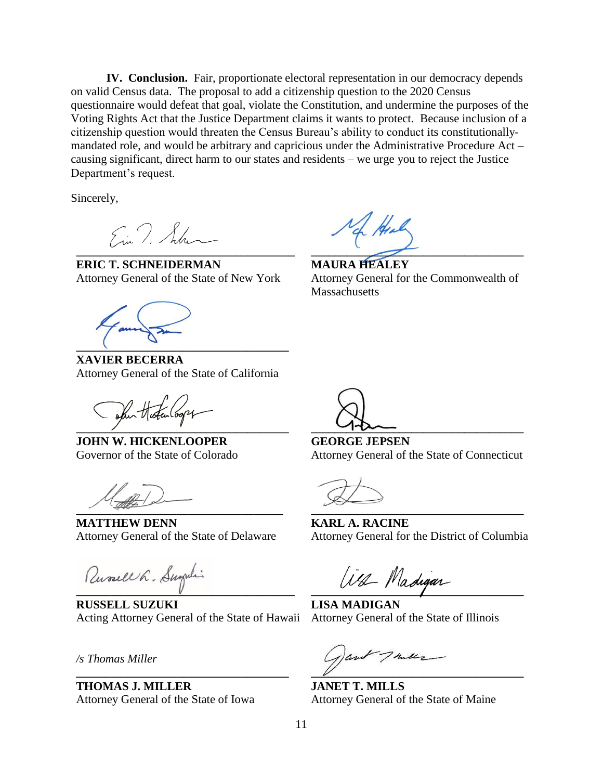**IV. Conclusion.** Fair, proportionate electoral representation in our democracy depends on valid Census data. The proposal to add a citizenship question to the 2020 Census questionnaire would defeat that goal, violate the Constitution, and undermine the purposes of the Voting Rights Act that the Justice Department claims it wants to protect. Because inclusion of a citizenship question would threaten the Census Bureau's ability to conduct its constitutionallymandated role, and would be arbitrary and capricious under the Administrative Procedure Act – causing significant, direct harm to our states and residents – we urge you to reject the Justice Department's request.

Sincerely,

Ein T. Sulm **\_\_\_\_\_\_\_\_\_\_\_\_\_\_\_\_\_\_\_\_\_\_\_\_\_\_\_\_\_\_\_\_\_\_\_\_\_**

**ERIC T. SCHNEIDERMAN**  Attorney General of the State of New York

**\_\_\_\_\_\_\_\_\_\_\_\_\_\_\_\_\_\_\_\_\_\_\_\_\_\_\_\_\_\_\_\_\_\_\_\_**

**XAVIER BECERRA** Attorney General of the State of California

San Histen (00pg **\_\_\_\_\_\_\_\_\_\_\_\_\_\_\_\_\_\_\_\_\_\_\_\_\_\_\_\_\_\_\_\_\_\_\_\_**

**JOHN W. HICKENLOOPER** Governor of the State of Colorado

 $\frac{1}{2}$ 

**MATTHEW DENN** Attorney General of the State of Delaware

Russell L. Sugali

**RUSSELL SUZUKI** Acting Attorney General of the State of Hawaii

**\_\_\_\_\_\_\_\_\_\_\_\_\_\_\_\_\_\_\_\_\_\_\_\_\_\_\_\_\_\_\_\_\_\_\_\_**

*/s Thomas Miller*

**THOMAS J. MILLER** Attorney General of the State of Iowa

**\_\_\_\_\_\_\_\_\_\_\_\_\_\_\_\_\_\_\_\_\_\_\_\_\_\_\_\_\_\_\_\_\_\_\_\_**

**MAURA HEALEY** Attorney General for the Commonwealth of **Massachusetts** 

**\_\_\_\_\_\_\_\_\_\_\_\_\_\_\_\_\_\_\_\_\_\_\_\_\_\_\_\_\_\_\_\_\_\_\_\_**

**GEORGE JEPSEN** Attorney General of the State of Connecticut

**\_\_\_\_\_\_\_\_\_\_\_\_\_\_\_\_\_\_\_\_\_\_\_\_\_\_\_\_\_\_\_\_\_\_\_\_**

**KARL A. RACINE** Attorney General for the District of Columbia

**\_\_\_\_\_\_\_\_\_\_\_\_\_\_\_\_\_\_\_\_\_\_\_\_\_\_\_\_\_\_\_\_\_\_\_\_**

**LISA MADIGAN** Attorney General of the State of Illinois

Taule **\_\_\_\_\_\_\_\_\_\_\_\_\_\_\_\_\_\_\_\_\_\_\_\_\_\_\_\_\_\_\_\_\_\_\_\_**

**JANET T. MILLS** Attorney General of the State of Maine